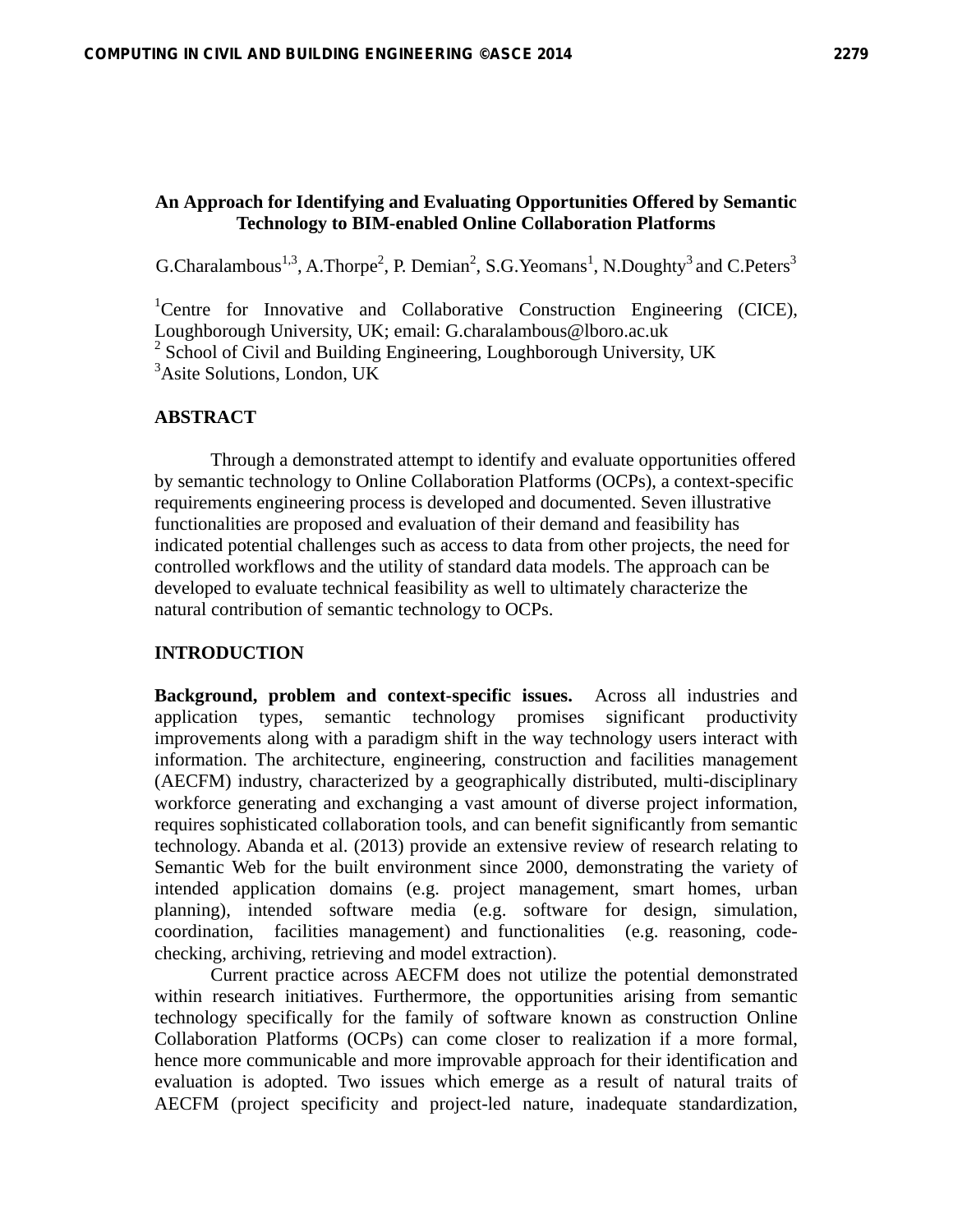### **An Approach for Identifying and Evaluating Opportunities Offered by Semantic Technology to BIM-enabled Online Collaboration Platforms**

G.Charalambous<sup>1,3</sup>, A.Thorpe<sup>2</sup>, P. Demian<sup>2</sup>, S.G.Yeomans<sup>1</sup>, N.Doughty<sup>3</sup> and C.Peters<sup>3</sup>

<sup>1</sup>Centre for Innovative and Collaborative Construction Engineering (CICE), Loughborough University, UK; email: G.charalambous@lboro.ac.uk <sup>2</sup> School of Civil and Building Engineering, Loughborough University, UK 3 Asite Solutions, London, UK

### **ABSTRACT**

Through a demonstrated attempt to identify and evaluate opportunities offered by semantic technology to Online Collaboration Platforms (OCPs), a context-specific requirements engineering process is developed and documented. Seven illustrative functionalities are proposed and evaluation of their demand and feasibility has indicated potential challenges such as access to data from other projects, the need for controlled workflows and the utility of standard data models. The approach can be developed to evaluate technical feasibility as well to ultimately characterize the natural contribution of semantic technology to OCPs.

### **INTRODUCTION**

**Background, problem and context-specific issues.** Across all industries and application types, semantic technology promises significant productivity improvements along with a paradigm shift in the way technology users interact with information. The architecture, engineering, construction and facilities management (AECFM) industry, characterized by a geographically distributed, multi-disciplinary workforce generating and exchanging a vast amount of diverse project information, requires sophisticated collaboration tools, and can benefit significantly from semantic technology. Abanda et al. (2013) provide an extensive review of research relating to Semantic Web for the built environment since 2000, demonstrating the variety of intended application domains (e.g. project management, smart homes, urban planning), intended software media (e.g. software for design, simulation, coordination, facilities management) and functionalities (e.g. reasoning, codechecking, archiving, retrieving and model extraction).

Current practice across AECFM does not utilize the potential demonstrated within research initiatives. Furthermore, the opportunities arising from semantic technology specifically for the family of software known as construction Online Collaboration Platforms (OCPs) can come closer to realization if a more formal, hence more communicable and more improvable approach for their identification and evaluation is adopted. Two issues which emerge as a result of natural traits of AECFM (project specificity and project-led nature, inadequate standardization,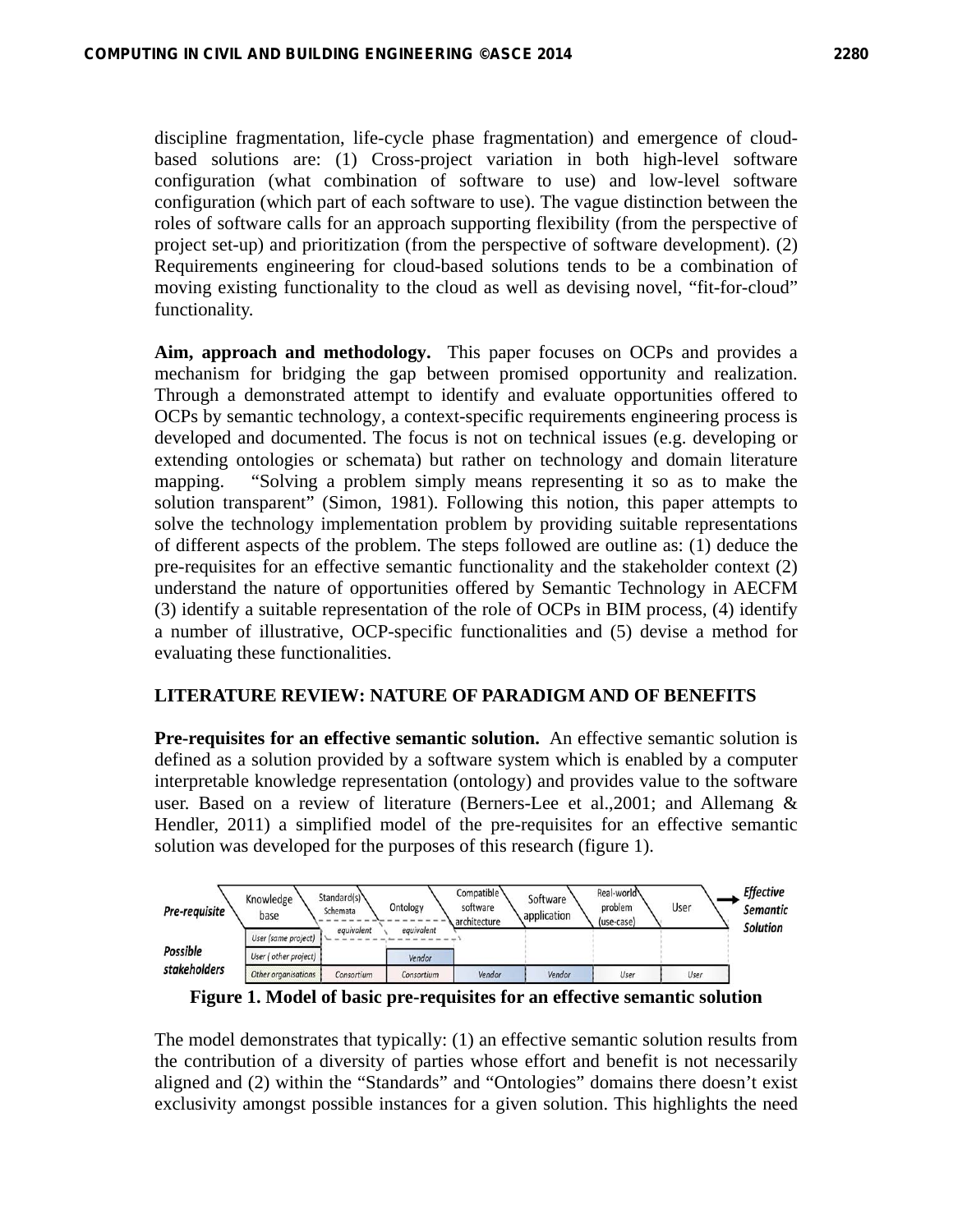discipline fragmentation, life-cycle phase fragmentation) and emergence of cloudbased solutions are: (1) Cross-project variation in both high-level software configuration (what combination of software to use) and low-level software configuration (which part of each software to use). The vague distinction between the roles of software calls for an approach supporting flexibility (from the perspective of project set-up) and prioritization (from the perspective of software development). (2) Requirements engineering for cloud-based solutions tends to be a combination of moving existing functionality to the cloud as well as devising novel, "fit-for-cloud" functionality.

**Aim, approach and methodology.** This paper focuses on OCPs and provides a mechanism for bridging the gap between promised opportunity and realization. Through a demonstrated attempt to identify and evaluate opportunities offered to OCPs by semantic technology, a context-specific requirements engineering process is developed and documented. The focus is not on technical issues (e.g. developing or extending ontologies or schemata) but rather on technology and domain literature mapping. "Solving a problem simply means representing it so as to make the solution transparent" (Simon, 1981). Following this notion, this paper attempts to solve the technology implementation problem by providing suitable representations of different aspects of the problem. The steps followed are outline as: (1) deduce the pre-requisites for an effective semantic functionality and the stakeholder context (2) understand the nature of opportunities offered by Semantic Technology in AECFM (3) identify a suitable representation of the role of OCPs in BIM process, (4) identify a number of illustrative, OCP-specific functionalities and (5) devise a method for evaluating these functionalities.

# **LITERATURE REVIEW: NATURE OF PARADIGM AND OF BENEFITS**

**Pre-requisites for an effective semantic solution.** An effective semantic solution is defined as a solution provided by a software system which is enabled by a computer interpretable knowledge representation (ontology) and provides value to the software user. Based on a review of literature (Berners-Lee et al.,2001; and Allemang & Hendler, 2011) a simplified model of the pre-requisites for an effective semantic solution was developed for the purposes of this research (figure 1).



**Figure 1. Model of basic pre-requisites for an effective semantic solution** 

The model demonstrates that typically: (1) an effective semantic solution results from the contribution of a diversity of parties whose effort and benefit is not necessarily aligned and (2) within the "Standards" and "Ontologies" domains there doesn't exist exclusivity amongst possible instances for a given solution. This highlights the need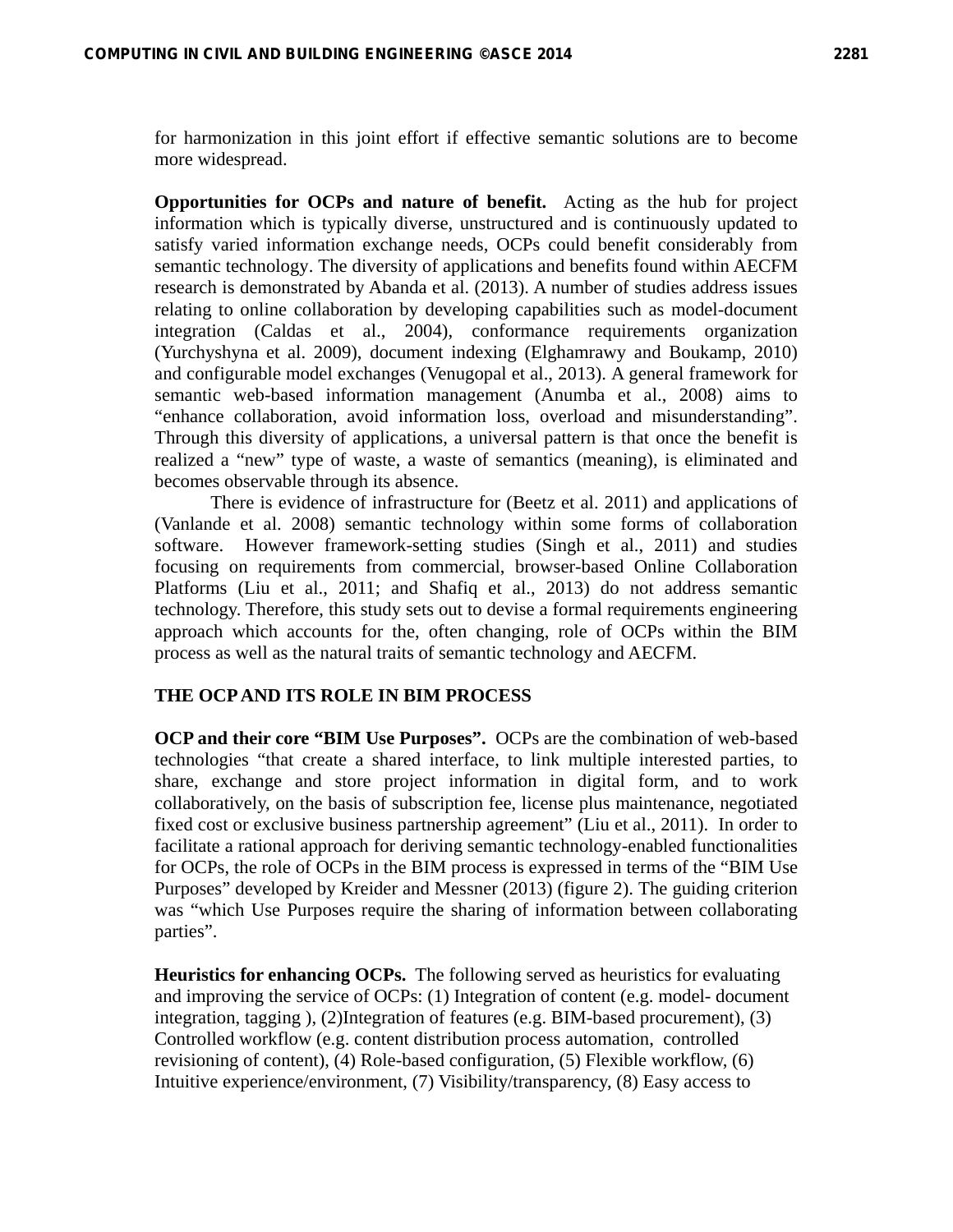for harmonization in this joint effort if effective semantic solutions are to become more widespread.

**Opportunities for OCPs and nature of benefit.** Acting as the hub for project information which is typically diverse, unstructured and is continuously updated to satisfy varied information exchange needs, OCPs could benefit considerably from semantic technology. The diversity of applications and benefits found within AECFM research is demonstrated by Abanda et al. (2013). A number of studies address issues relating to online collaboration by developing capabilities such as model-document integration (Caldas et al., 2004), conformance requirements organization (Yurchyshyna et al. 2009), document indexing (Elghamrawy and Boukamp, 2010) and configurable model exchanges (Venugopal et al., 2013). A general framework for semantic web-based information management (Anumba et al., 2008) aims to "enhance collaboration, avoid information loss, overload and misunderstanding". Through this diversity of applications, a universal pattern is that once the benefit is realized a "new" type of waste, a waste of semantics (meaning), is eliminated and becomes observable through its absence.

There is evidence of infrastructure for (Beetz et al. 2011) and applications of (Vanlande et al. 2008) semantic technology within some forms of collaboration software. However framework-setting studies (Singh et al., 2011) and studies focusing on requirements from commercial, browser-based Online Collaboration Platforms (Liu et al., 2011; and Shafiq et al., 2013) do not address semantic technology. Therefore, this study sets out to devise a formal requirements engineering approach which accounts for the, often changing, role of OCPs within the BIM process as well as the natural traits of semantic technology and AECFM.

### **THE OCP AND ITS ROLE IN BIM PROCESS**

**OCP and their core "BIM Use Purposes".** OCPs are the combination of web-based technologies "that create a shared interface, to link multiple interested parties, to share, exchange and store project information in digital form, and to work collaboratively, on the basis of subscription fee, license plus maintenance, negotiated fixed cost or exclusive business partnership agreement" (Liu et al., 2011). In order to facilitate a rational approach for deriving semantic technology-enabled functionalities for OCPs, the role of OCPs in the BIM process is expressed in terms of the "BIM Use Purposes" developed by Kreider and Messner (2013) (figure 2). The guiding criterion was "which Use Purposes require the sharing of information between collaborating parties".

**Heuristics for enhancing OCPs.** The following served as heuristics for evaluating and improving the service of OCPs: (1) Integration of content (e.g. model- document integration, tagging ), (2)Integration of features (e.g. BIM-based procurement), (3) Controlled workflow (e.g. content distribution process automation, controlled revisioning of content), (4) Role-based configuration, (5) Flexible workflow, (6) Intuitive experience/environment, (7) Visibility/transparency, (8) Easy access to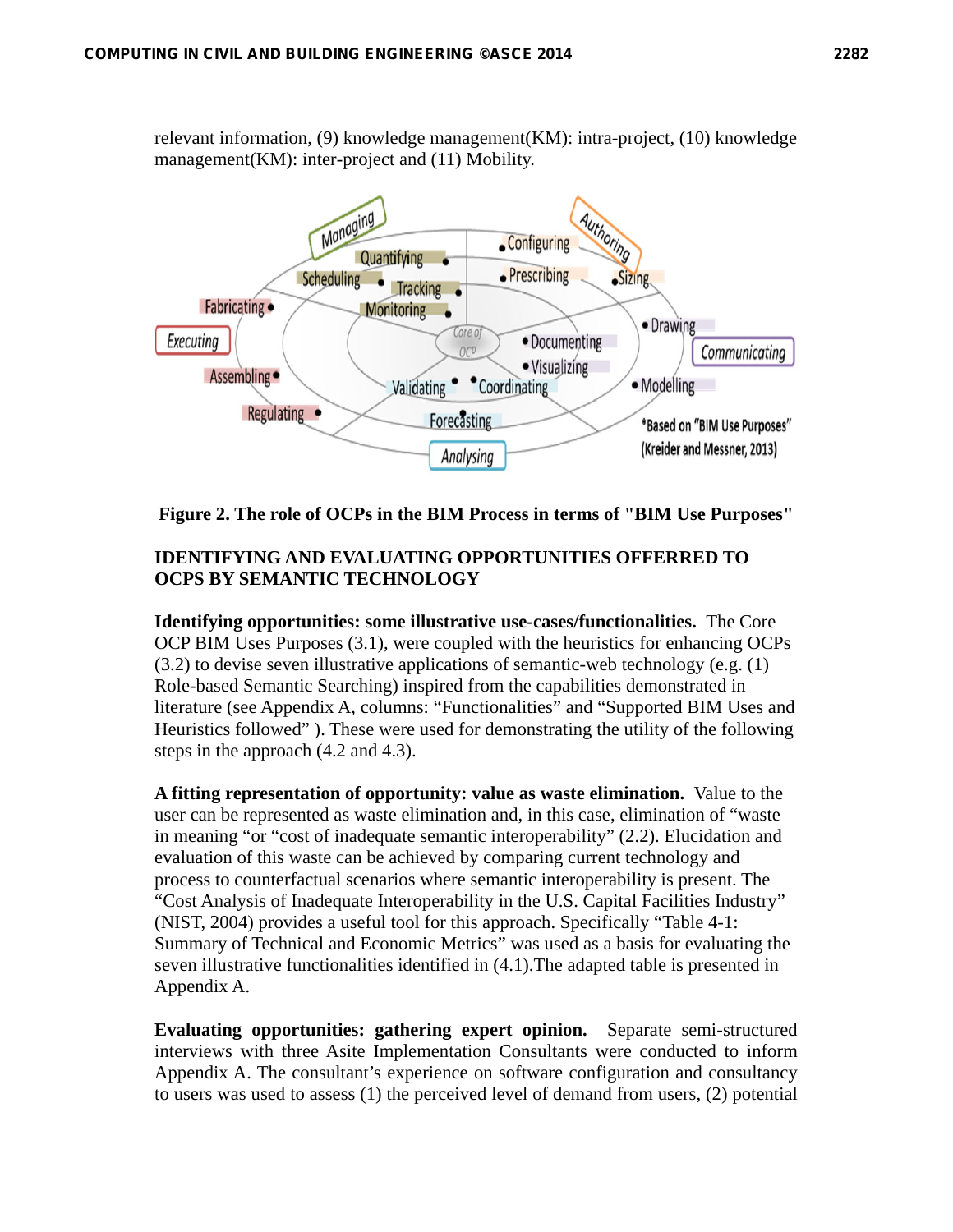relevant information, (9) knowledge management(KM): intra-project, (10) knowledge management(KM): inter-project and (11) Mobility.



**Figure 2. The role of OCPs in the BIM Process in terms of "BIM Use Purposes"** 

# **IDENTIFYING AND EVALUATING OPPORTUNITIES OFFERRED TO OCPS BY SEMANTIC TECHNOLOGY**

**Identifying opportunities: some illustrative use-cases/functionalities.** The Core OCP BIM Uses Purposes (3.1), were coupled with the heuristics for enhancing OCPs (3.2) to devise seven illustrative applications of semantic-web technology (e.g. (1) Role-based Semantic Searching) inspired from the capabilities demonstrated in literature (see Appendix A, columns: "Functionalities" and "Supported BIM Uses and Heuristics followed" ). These were used for demonstrating the utility of the following steps in the approach (4.2 and 4.3).

**A fitting representation of opportunity: value as waste elimination.** Value to the user can be represented as waste elimination and, in this case, elimination of "waste in meaning "or "cost of inadequate semantic interoperability" (2.2). Elucidation and evaluation of this waste can be achieved by comparing current technology and process to counterfactual scenarios where semantic interoperability is present. The "Cost Analysis of Inadequate Interoperability in the U.S. Capital Facilities Industry" (NIST, 2004) provides a useful tool for this approach. Specifically "Table 4-1: Summary of Technical and Economic Metrics" was used as a basis for evaluating the seven illustrative functionalities identified in (4.1).The adapted table is presented in Appendix A.

**Evaluating opportunities: gathering expert opinion.** Separate semi-structured interviews with three Asite Implementation Consultants were conducted to inform Appendix A. The consultant's experience on software configuration and consultancy to users was used to assess (1) the perceived level of demand from users, (2) potential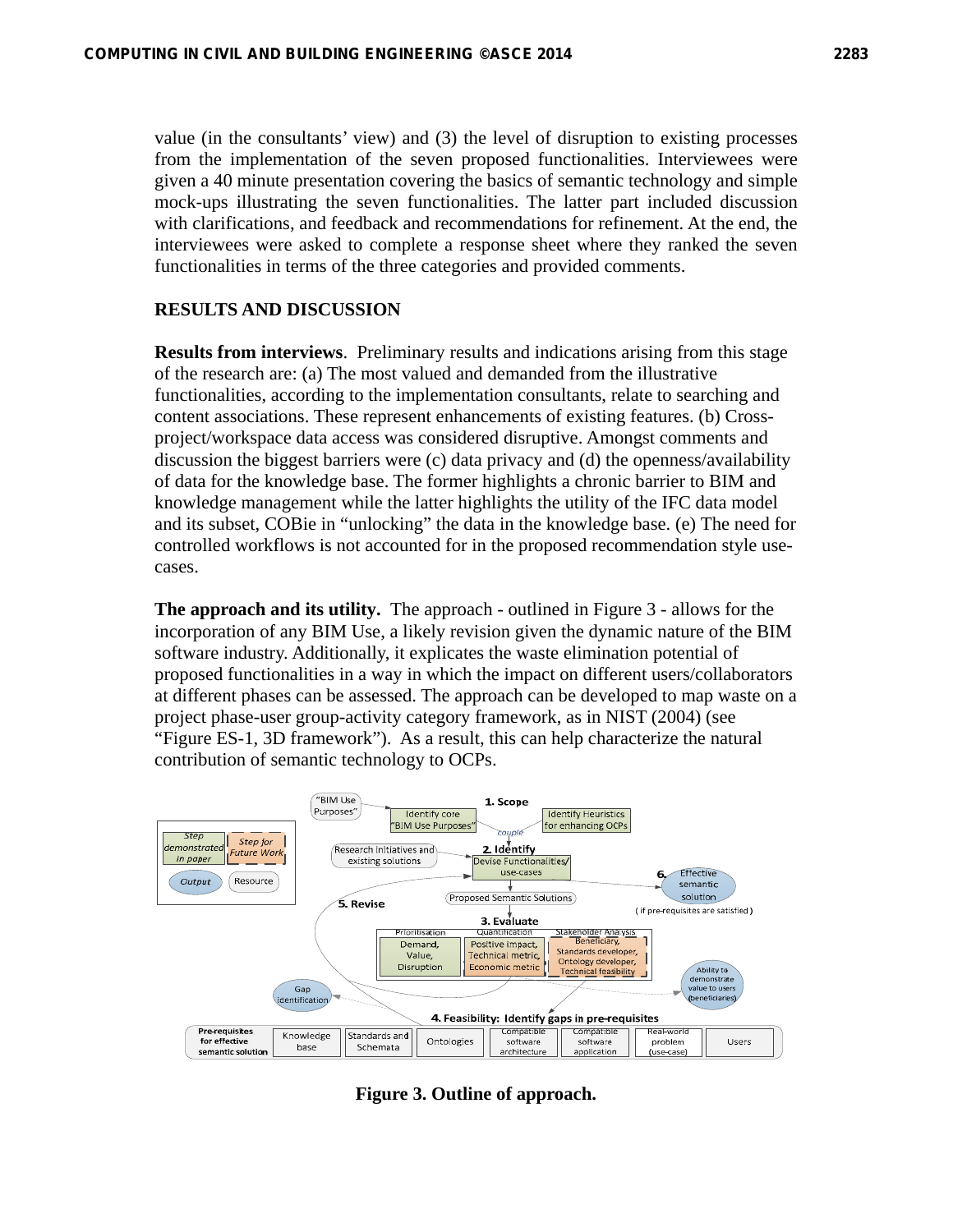value (in the consultants' view) and (3) the level of disruption to existing processes from the implementation of the seven proposed functionalities. Interviewees were given a 40 minute presentation covering the basics of semantic technology and simple mock-ups illustrating the seven functionalities. The latter part included discussion with clarifications, and feedback and recommendations for refinement. At the end, the interviewees were asked to complete a response sheet where they ranked the seven functionalities in terms of the three categories and provided comments.

### **RESULTS AND DISCUSSION**

**Results from interviews**. Preliminary results and indications arising from this stage of the research are: (a) The most valued and demanded from the illustrative functionalities, according to the implementation consultants, relate to searching and content associations. These represent enhancements of existing features. (b) Crossproject/workspace data access was considered disruptive. Amongst comments and discussion the biggest barriers were (c) data privacy and (d) the openness/availability of data for the knowledge base. The former highlights a chronic barrier to BIM and knowledge management while the latter highlights the utility of the IFC data model and its subset, COBie in "unlocking" the data in the knowledge base. (e) The need for controlled workflows is not accounted for in the proposed recommendation style usecases.

**The approach and its utility.** The approach - outlined in Figure 3 - allows for the incorporation of any BIM Use, a likely revision given the dynamic nature of the BIM software industry. Additionally, it explicates the waste elimination potential of proposed functionalities in a way in which the impact on different users/collaborators at different phases can be assessed. The approach can be developed to map waste on a project phase-user group-activity category framework, as in NIST (2004) (see "Figure ES-1, 3D framework"). As a result, this can help characterize the natural contribution of semantic technology to OCPs.



**Figure 3. Outline of approach.**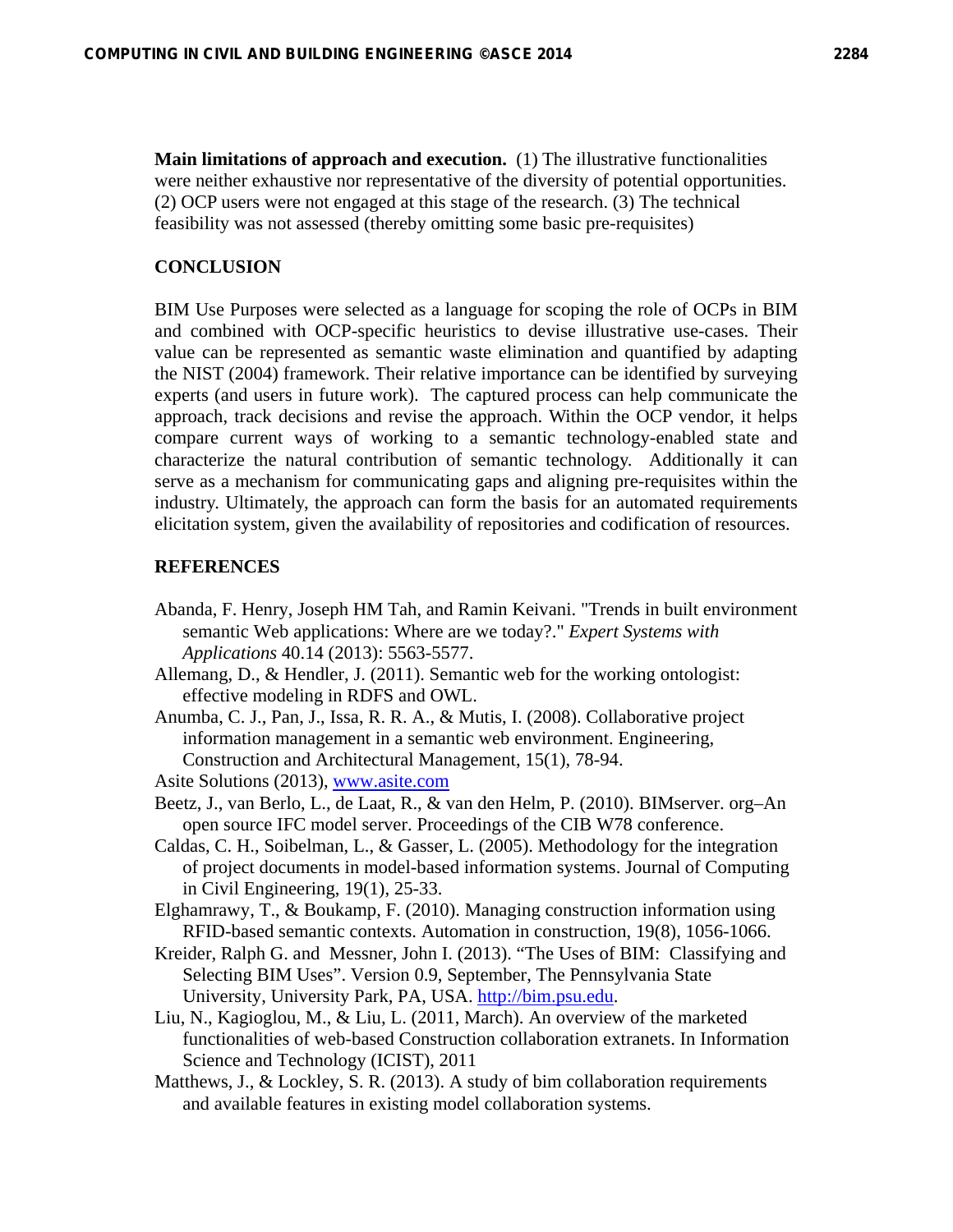**Main limitations of approach and execution.** (1) The illustrative functionalities were neither exhaustive nor representative of the diversity of potential opportunities. (2) OCP users were not engaged at this stage of the research. (3) The technical feasibility was not assessed (thereby omitting some basic pre-requisites)

### **CONCLUSION**

BIM Use Purposes were selected as a language for scoping the role of OCPs in BIM and combined with OCP-specific heuristics to devise illustrative use-cases. Their value can be represented as semantic waste elimination and quantified by adapting the NIST (2004) framework. Their relative importance can be identified by surveying experts (and users in future work). The captured process can help communicate the approach, track decisions and revise the approach. Within the OCP vendor, it helps compare current ways of working to a semantic technology-enabled state and characterize the natural contribution of semantic technology. Additionally it can serve as a mechanism for communicating gaps and aligning pre-requisites within the industry. Ultimately, the approach can form the basis for an automated requirements elicitation system, given the availability of repositories and codification of resources.

#### **REFERENCES**

- Abanda, F. Henry, Joseph HM Tah, and Ramin Keivani. "Trends in built environment semantic Web applications: Where are we today?." *Expert Systems with Applications* 40.14 (2013): 5563-5577.
- Allemang, D., & Hendler, J. (2011). Semantic web for the working ontologist: effective modeling in RDFS and OWL.
- Anumba, C. J., Pan, J., Issa, R. R. A., & Mutis, I. (2008). Collaborative project information management in a semantic web environment. Engineering, Construction and Architectural Management, 15(1), 78-94.
- Asite Solutions (2013), www.asite.com
- Beetz, J., van Berlo, L., de Laat, R., & van den Helm, P. (2010). BIMserver. org–An open source IFC model server. Proceedings of the CIB W78 conference.
- Caldas, C. H., Soibelman, L., & Gasser, L. (2005). Methodology for the integration of project documents in model-based information systems. Journal of Computing in Civil Engineering, 19(1), 25-33.
- Elghamrawy, T., & Boukamp, F. (2010). Managing construction information using RFID-based semantic contexts. Automation in construction, 19(8), 1056-1066.
- Kreider, Ralph G. and Messner, John I. (2013). "The Uses of BIM: Classifying and Selecting BIM Uses". Version 0.9, September, The Pennsylvania State University, University Park, PA, USA. http://bim.psu.edu.
- Liu, N., Kagioglou, M., & Liu, L. (2011, March). An overview of the marketed functionalities of web-based Construction collaboration extranets. In Information Science and Technology (ICIST), 2011
- Matthews, J., & Lockley, S. R. (2013). A study of bim collaboration requirements and available features in existing model collaboration systems.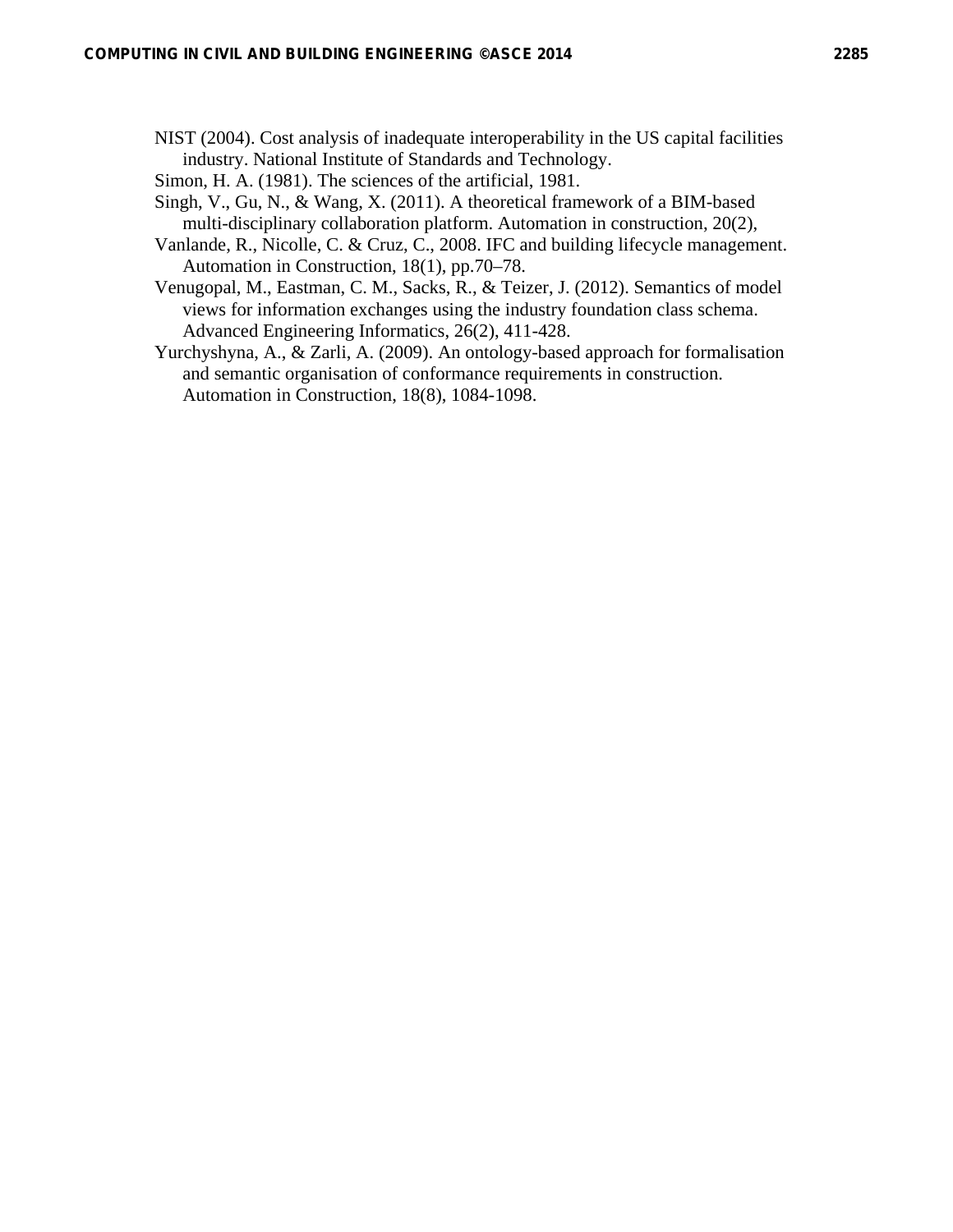- NIST (2004). Cost analysis of inadequate interoperability in the US capital facilities industry. National Institute of Standards and Technology.
- Simon, H. A. (1981). The sciences of the artificial, 1981.
- Singh, V., Gu, N., & Wang, X. (2011). A theoretical framework of a BIM-based multi-disciplinary collaboration platform. Automation in construction, 20(2),
- Vanlande, R., Nicolle, C. & Cruz, C., 2008. IFC and building lifecycle management. Automation in Construction, 18(1), pp.70–78.
- Venugopal, M., Eastman, C. M., Sacks, R., & Teizer, J. (2012). Semantics of model views for information exchanges using the industry foundation class schema. Advanced Engineering Informatics, 26(2), 411-428.
- Yurchyshyna, A., & Zarli, A. (2009). An ontology-based approach for formalisation and semantic organisation of conformance requirements in construction. Automation in Construction, 18(8), 1084-1098.